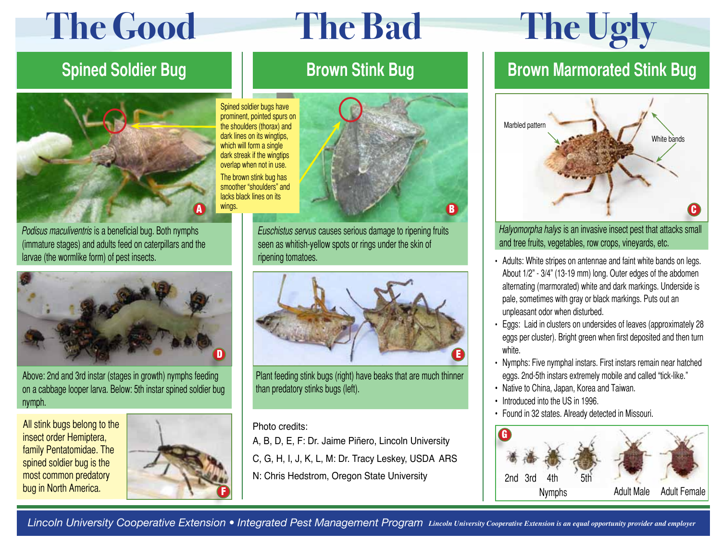# **The Good The Bad The Ugly**



Podisus maculiventris is a beneficial bug. Both nymphs (immature stages) and adults feed on caterpillars and the larvae (the wormlike form) of pest insects.



Above: 2nd and 3rd instar (stages in growth) nymphs feeding on a cabbage looper larva. Below: 5th instar spined soldier bug nymph.

All stink bugs belong to the insect order Hemiptera, family Pentatomidae. The spined soldier bug is the most common predatory bug in North America.



# **Brown Stink Bug**

Spined soldier bugs have prominent, pointed spurs on the shoulders (thorax) and dark lines on its wingtips, which will form a single dark streak if the wingtips overlap when not in use. The brown stink bug has smoother "shoulders" and lacks black lines on its



Euschistus servus causes serious damage to ripening fruits seen as whitish-yellow spots or rings under the skin of ripening tomatoes.



Plant feeding stink bugs (right) have beaks that are much thinner than predatory stinks bugs (left).

### Photo credits:

A, B, D, E, F: Dr. Jaime Piñero, Lincoln University

C, G, H, I, J, K, L, M: Dr. Tracy Leskey, USDA ARS

N: Chris Hedstrom, Oregon State University

## **Spined Soldier Bug The Realty Brown Stink Bug Network Bugger and Brown Marmorated Stink Bugger**



Halyomorpha halys is an invasive insect pest that attacks small and tree fruits, vegetables, row crops, vineyards, etc.

- Adults: White stripes on antennae and faint white bands on legs. About 1/2" - 3/4" (13-19 mm) long. Outer edges of the abdomen alternating (marmorated) white and dark markings. Underside is pale, sometimes with gray or black markings. Puts out an unpleasant odor when disturbed.
- • Eggs: Laid in clusters on undersides of leaves (approximately 28 eggs per cluster). Bright green when first deposited and then turn white.
- Nymphs: Five nymphal instars. First instars remain near hatched eggs. 2nd-5th instars extremely mobile and called "tick-like."
- Native to China, Japan, Korea and Taiwan.
- Introduced into the US in 1996.
- Found in 32 states. Already detected in Missouri.



*Lincoln University Cooperative Extension • Integrated Pest Management Program Lincoln University Cooperative Extension is an equal opportunity provider and employer*